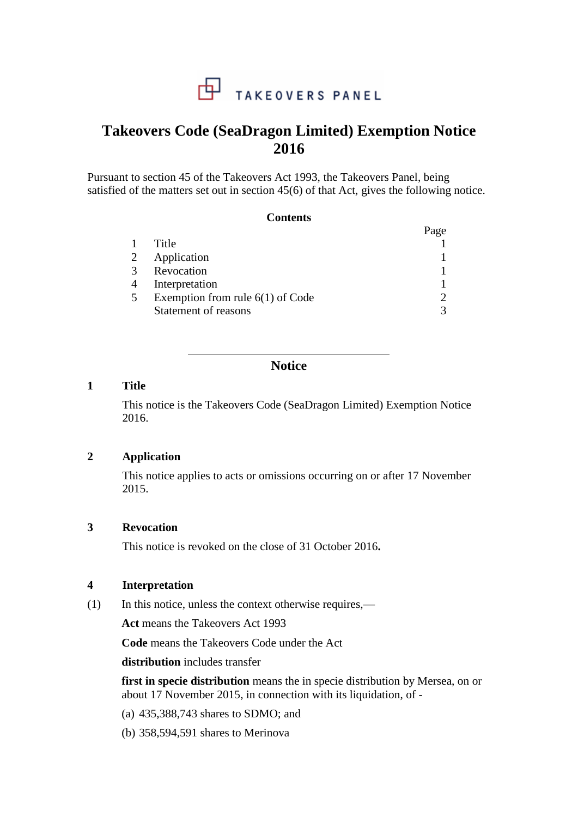

# **Takeovers Code (SeaDragon Limited) Exemption Notice 2016**

Pursuant to section 45 of the Takeovers Act 1993, the Takeovers Panel, being satisfied of the matters set out in section 45(6) of that Act, gives the following notice.

#### **Contents**

|                |                                    | Page          |
|----------------|------------------------------------|---------------|
| $\mathbf{1}$   | Title                              |               |
|                | 2 Application                      |               |
|                | 3 Revocation                       |               |
| $\overline{4}$ | Interpretation                     |               |
| $5^{\circ}$    | Exemption from rule $6(1)$ of Code | $\mathcal{D}$ |
|                | Statement of reasons               | 3             |

## **Notice**

#### **1 Title**

This notice is the Takeovers Code (SeaDragon Limited) Exemption Notice 2016.

## **2 Application**

This notice applies to acts or omissions occurring on or after 17 November 2015.

## **3 Revocation**

This notice is revoked on the close of 31 October 2016**.**

#### **4 Interpretation**

(1) In this notice, unless the context otherwise requires,—

**Act** means the Takeovers Act 1993

**Code** means the Takeovers Code under the Act

**distribution** includes transfer

**first in specie distribution** means the in specie distribution by Mersea, on or about 17 November 2015, in connection with its liquidation, of -

- (a) 435,388,743 shares to SDMO; and
- (b) 358,594,591 shares to Merinova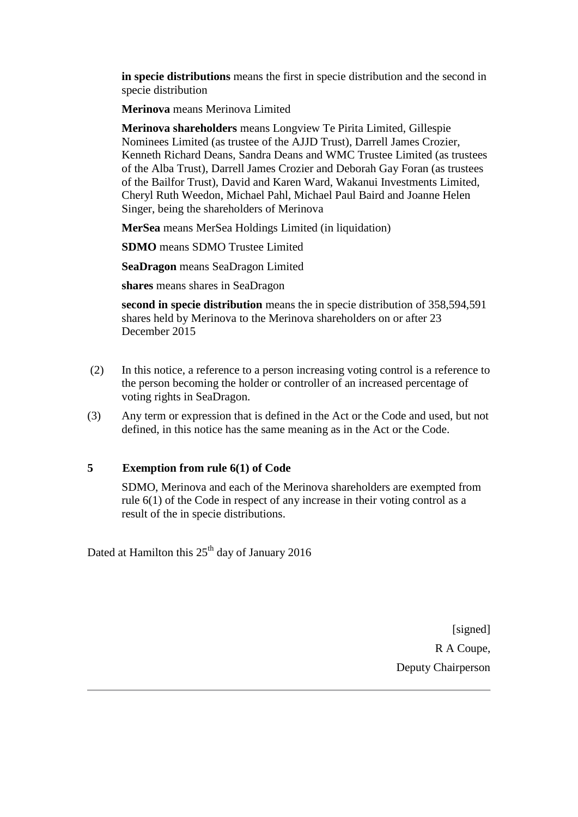**in specie distributions** means the first in specie distribution and the second in specie distribution

**Merinova** means Merinova Limited

**Merinova shareholders** means Longview Te Pirita Limited, Gillespie Nominees Limited (as trustee of the AJJD Trust), Darrell James Crozier, Kenneth Richard Deans, Sandra Deans and WMC Trustee Limited (as trustees of the Alba Trust), Darrell James Crozier and Deborah Gay Foran (as trustees of the Bailfor Trust), David and Karen Ward, Wakanui Investments Limited, Cheryl Ruth Weedon, Michael Pahl, Michael Paul Baird and Joanne Helen Singer, being the shareholders of Merinova

**MerSea** means MerSea Holdings Limited (in liquidation)

**SDMO** means SDMO Trustee Limited

**SeaDragon** means SeaDragon Limited

**shares** means shares in SeaDragon

**second in specie distribution** means the in specie distribution of 358,594,591 shares held by Merinova to the Merinova shareholders on or after 23 December 2015

- (2) In this notice, a reference to a person increasing voting control is a reference to the person becoming the holder or controller of an increased percentage of voting rights in SeaDragon.
- (3) Any term or expression that is defined in the Act or the Code and used, but not defined, in this notice has the same meaning as in the Act or the Code.

#### **5 Exemption from rule 6(1) of Code**

SDMO, Merinova and each of the Merinova shareholders are exempted from rule 6(1) of the Code in respect of any increase in their voting control as a result of the in specie distributions.

Dated at Hamilton this  $25<sup>th</sup>$  day of January 2016

[signed] R A Coupe, Deputy Chairperson